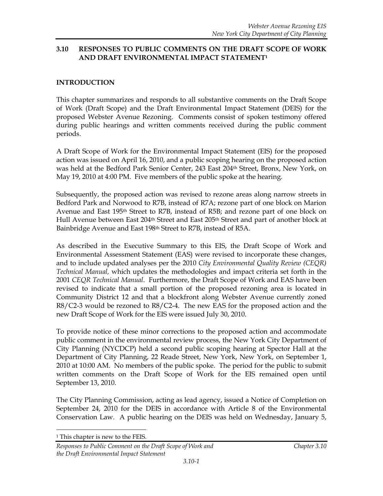### **3.10 RESPONSES TO PUBLIC COMMENTS ON THE DRAFT SCOPE OF WORK AND DRAFT ENVIRONMENTAL IMPACT STATEMENT<sup>1</sup>**

## **INTRODUCTION**

This chapter summarizes and responds to all substantive comments on the Draft Scope of Work (Draft Scope) and the Draft Environmental Impact Statement (DEIS) for the proposed Webster Avenue Rezoning. Comments consist of spoken testimony offered during public hearings and written comments received during the public comment periods.

A Draft Scope of Work for the Environmental Impact Statement (EIS) for the proposed action was issued on April 16, 2010, and a public scoping hearing on the proposed action was held at the Bedford Park Senior Center, 243 East 204th Street, Bronx, New York, on May 19, 2010 at 4:00 PM. Five members of the public spoke at the hearing.

Subsequently, the proposed action was revised to rezone areas along narrow streets in Bedford Park and Norwood to R7B, instead of R7A; rezone part of one block on Marion Avenue and East 195th Street to R7B, instead of R5B; and rezone part of one block on Hull Avenue between East 204<sup>th</sup> Street and East 205<sup>th</sup> Street and part of another block at Bainbridge Avenue and East 198<sup>th</sup> Street to R7B, instead of R5A.

As described in the Executive Summary to this EIS, the [Draft Scope of Work and](http://www.nyc.gov/html/dcp/html/env_review/scope.shtml#webster_avenue)  [Environmental Assessment Statement](http://www.nyc.gov/html/dcp/html/env_review/scope.shtml#webster_avenue) (EAS) were revised to incorporate these changes, and to include updated analyses per the 2010 *City Environmental Quality Review (CEQR) Technical Manual,* which updates the methodologies and impact criteria set forth in the 2001 *CEQR Technical Manual*. Furthermore, the Draft Scope of Work and EAS have been revised to indicate that a small portion of the proposed rezoning area is located in Community District 12 and that a blockfront along Webster Avenue currently zoned R8/C2-3 would be rezoned to R8/C2-4. The new EAS for the proposed action and the new Draft Scope of Work for the EIS were issued July 30, 2010.

To provide notice of these minor corrections to the proposed action and accommodate public comment in the environmental review process, the New York City Department of City Planning (NYCDCP) held a second public scoping hearing at Spector Hall at the Department of City Planning, 22 Reade Street, New York, New York, on September 1, 2010 at 10:00 AM. No members of the public spoke. The period for the public to submit written comments on the Draft Scope of Work for the EIS remained open until September 13, 2010.

The City Planning Commission, acting as lead agency, issued a Notice of Completion on September 24, 2010 for the DEIS in accordance with Article 8 of the Environmental Conservation Law. A public hearing on the DEIS was held on Wednesday, January 5,

 $\overline{a}$ 

<sup>&</sup>lt;sup>1</sup> This chapter is new to the FEIS.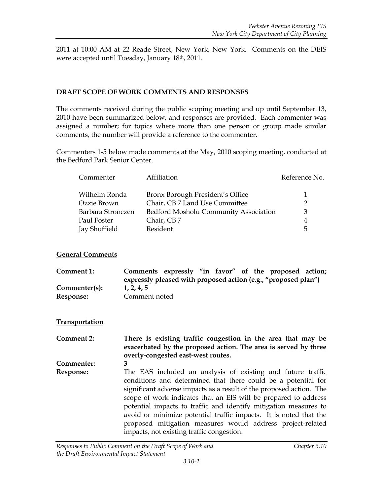2011 at 10:00 AM at 22 Reade Street, New York, New York. Comments on the DEIS were accepted until Tuesday, January 18th, 2011.

#### **DRAFT SCOPE OF WORK COMMENTS AND RESPONSES**

The comments received during the public scoping meeting and up until September 13, 2010 have been summarized below, and responses are provided. Each commenter was assigned a number; for topics where more than one person or group made similar comments, the number will provide a reference to the commenter.

Commenters 1-5 below made comments at the May, 2010 scoping meeting, conducted at the Bedford Park Senior Center.

| Commenter         | Affiliation                           | Reference No. |
|-------------------|---------------------------------------|---------------|
| Wilhelm Ronda     | Bronx Borough President's Office      |               |
| Ozzie Brown       | Chair, CB 7 Land Use Committee        | $\mathcal{P}$ |
| Barbara Stronczen | Bedford Mosholu Community Association | 3             |
| Paul Foster       | Chair, CB7                            | 4             |
| Jay Shuffield     | Resident                              | 5             |

## **General Comments**

**Comment 1: Comments expressly "in favor" of the proposed action; expressly pleased with proposed action (e.g., "proposed plan") Commenter(s): 1, 2, 4, 5 Response:** Comment noted

## **Transportation**

**Comment 2: There is existing traffic congestion in the area that may be exacerbated by the proposed action. The area is served by three overly-congested east-west routes. Commenter: 3 Response:** The EAS included an analysis of existing and future traffic conditions and determined that there could be a potential for significant adverse impacts as a result of the proposed action. The scope of work indicates that an EIS will be prepared to address potential impacts to traffic and identify mitigation measures to avoid or minimize potential traffic impacts. It is noted that the proposed mitigation measures would address project-related impacts, not existing traffic congestion.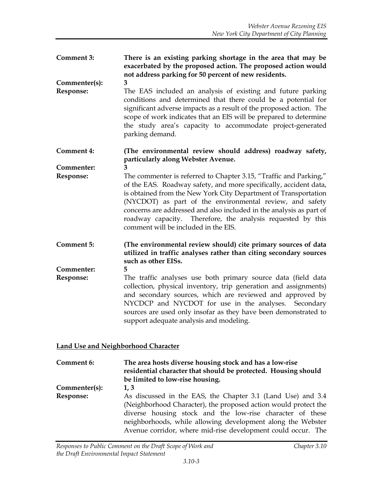**Comment 3: There is an existing parking shortage in the area that may be exacerbated by the proposed action. The proposed action would not address parking for 50 percent of new residents.**

**Commenter(s): 3**

**Response:** The EAS included an analysis of existing and future parking conditions and determined that there could be a potential for significant adverse impacts as a result of the proposed action. The scope of work indicates that an EIS will be prepared to determine the study area's capacity to accommodate project-generated parking demand.

**Comment 4: (The environmental review should address) roadway safety, particularly along Webster Avenue.**

**Commenter: 3**

- **Response:** The commenter is referred to Chapter 3.15, "Traffic and Parking," of the EAS. Roadway safety, and more specifically, accident data, is obtained from the New York City Department of Transportation (NYCDOT) as part of the environmental review, and safety concerns are addressed and also included in the analysis as part of roadway capacity. Therefore, the analysis requested by this comment will be included in the EIS.
- **Comment 5: (The environmental review should) cite primary sources of data utilized in traffic analyses rather than citing secondary sources such as other EISs.**

**Commenter: 5**

**Response:** The traffic analyses use both primary source data (field data collection, physical inventory, trip generation and assignments) and secondary sources, which are reviewed and approved by NYCDCP and NYCDOT for use in the analyses. Secondary sources are used only insofar as they have been demonstrated to support adequate analysis and modeling.

## **Land Use and Neighborhood Character**

**Comment 6: The area hosts diverse housing stock and has a low-rise residential character that should be protected. Housing should be limited to low-rise housing. Commenter(s): 1, 3 Response:** As discussed in the EAS, the Chapter 3.1 (Land Use) and 3.4 (Neighborhood Character), the proposed action would protect the diverse housing stock and the low-rise character of these neighborhoods, while allowing development along the Webster Avenue corridor, where mid-rise development could occur. The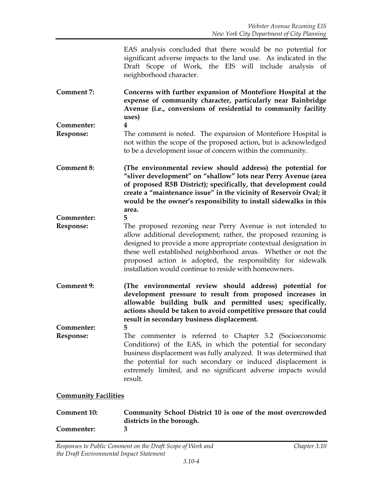EAS analysis concluded that there would be no potential for significant adverse impacts to the land use. As indicated in the Draft Scope of Work, the EIS will include analysis of neighborhood character.

- **Comment 7: Concerns with further expansion of Montefiore Hospital at the expense of community character, particularly near Bainbridge Avenue (i.e., conversions of residential to community facility uses)**
- **Commenter: 4 Response:** The comment is noted. The expansion of Montefiore Hospital is not within the scope of the proposed action, but is acknowledged to be a development issue of concern within the community.
- **Comment 8: (The environmental review should address) the potential for "sliver development" on "shallow" lots near Perry Avenue (area of proposed R5B District); specifically, that development could create a "maintenance issue" in the vicinity of Reservoir Oval; it would be the owner's responsibility to install sidewalks in this area.**
- **Commenter: 5 Response:** The proposed rezoning near Perry Avenue is not intended to allow additional development; rather, the proposed rezoning is designed to provide a more appropriate contextual designation in these well established neighborhood areas. Whether or not the proposed action is adopted, the responsibility for sidewalk installation would continue to reside with homeowners.
- **Comment 9: (The environmental review should address) potential for development pressure to result from proposed increases in allowable building bulk and permitted uses; specifically, actions should be taken to avoid competitive pressure that could result in secondary business displacement.**

**Commenter: 5 Response:** The commenter is referred to Chapter 3.2 (Socioeconomic Conditions) of the EAS, in which the potential for secondary business displacement was fully analyzed. It was determined that the potential for such secondary or induced displacement is extremely limited, and no significant adverse impacts would result.

#### **Community Facilities**

| Comment 10: | Community School District 10 is one of the most overcrowded |
|-------------|-------------------------------------------------------------|
|             | districts in the borough.                                   |
| Commenter:  |                                                             |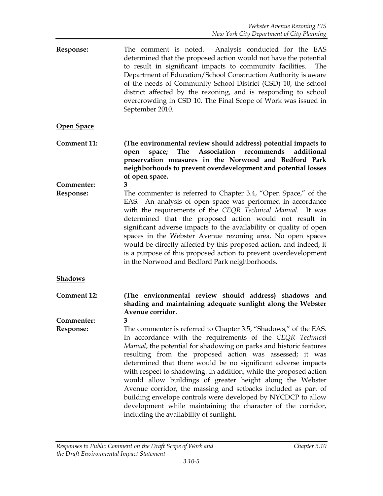**Response:** The comment is noted. Analysis conducted for the EAS determined that the proposed action would not have the potential to result in significant impacts to community facilities. The Department of Education/School Construction Authority is aware of the needs of Community School District (CSD) 10, the school district affected by the rezoning, and is responding to school overcrowding in CSD 10. The Final Scope of Work was issued in September 2010.

## **Open Space**

- **Comment 11: (The environmental review should address) potential impacts to open space; The Association recommends additional preservation measures in the Norwood and Bedford Park neighborhoods to prevent overdevelopment and potential losses of open space.**
- **Commenter: 3 Response:** The commenter is referred to Chapter 3.4, "Open Space," of the EAS. An analysis of open space was performed in accordance with the requirements of the *CEQR Technical Manual*. It was determined that the proposed action would not result in significant adverse impacts to the availability or quality of open spaces in the Webster Avenue rezoning area. No open spaces would be directly affected by this proposed action, and indeed, it is a purpose of this proposed action to prevent overdevelopment in the Norwood and Bedford Park neighborhoods.

#### **Shadows**

**Comment 12: (The environmental review should address) shadows and shading and maintaining adequate sunlight along the Webster Avenue corridor.**

**Commenter: 3**

**Response:** The commenter is referred to Chapter 3.5, "Shadows," of the EAS. In accordance with the requirements of the *CEQR Technical Manual*, the potential for shadowing on parks and historic features resulting from the proposed action was assessed; it was determined that there would be no significant adverse impacts with respect to shadowing. In addition, while the proposed action would allow buildings of greater height along the Webster Avenue corridor, the massing and setbacks included as part of building envelope controls were developed by NYCDCP to allow development while maintaining the character of the corridor, including the availability of sunlight.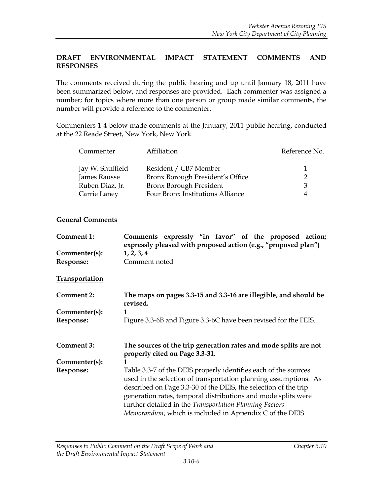## **DRAFT ENVIRONMENTAL IMPACT STATEMENT COMMENTS AND RESPONSES**

The comments received during the public hearing and up until January 18, 2011 have been summarized below, and responses are provided. Each commenter was assigned a number; for topics where more than one person or group made similar comments, the number will provide a reference to the commenter.

Commenters 1-4 below made comments at the January, 2011 public hearing, conducted at the 22 Reade Street, New York, New York.

| Commenter        | Affiliation                      | Reference No. |
|------------------|----------------------------------|---------------|
| Jay W. Shuffield | Resident / CB7 Member            |               |
| James Rausse     | Bronx Borough President's Office |               |
| Ruben Diaz, Jr.  | Bronx Borough President          | $\mathcal{R}$ |
| Carrie Laney     | Four Bronx Institutions Alliance | 4             |

#### **General Comments**

|                       | Comments expressly "in favor" of the proposed action;<br>expressly pleased with proposed action (e.g., "proposed plan")             |
|-----------------------|-------------------------------------------------------------------------------------------------------------------------------------|
| Commenter(s):         | 1, 2, 3, 4                                                                                                                          |
| Response:             | Comment noted                                                                                                                       |
| <b>Transportation</b> |                                                                                                                                     |
| <b>Comment 2:</b>     | The maps on pages 3.3-15 and 3.3-16 are illegible, and should be<br>revised.                                                        |
| Commenter(s):         |                                                                                                                                     |
| Response:             | Figure 3.3-6B and Figure 3.3-6C have been revised for the FEIS.                                                                     |
| <b>Comment 3:</b>     | The sources of the trip generation rates and mode splits are not<br>properly cited on Page 3.3-31.                                  |
| Commenter(s):         |                                                                                                                                     |
| Response:             | Table 3.3-7 of the DEIS properly identifies each of the sources<br>used in the selection of transportation planning assumptions. As |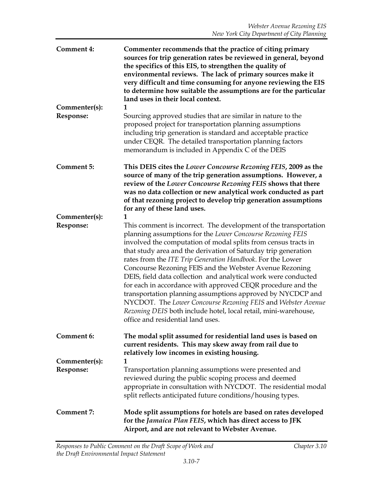| <b>Comment 4:</b>          | Commenter recommends that the practice of citing primary<br>sources for trip generation rates be reviewed in general, beyond<br>the specifics of this EIS, to strengthen the quality of<br>environmental reviews. The lack of primary sources make it<br>very difficult and time consuming for anyone reviewing the EIS<br>to determine how suitable the assumptions are for the particular<br>land uses in their local context.                                                                                                                                                                                                                                                                                                                                        |
|----------------------------|-------------------------------------------------------------------------------------------------------------------------------------------------------------------------------------------------------------------------------------------------------------------------------------------------------------------------------------------------------------------------------------------------------------------------------------------------------------------------------------------------------------------------------------------------------------------------------------------------------------------------------------------------------------------------------------------------------------------------------------------------------------------------|
| Commenter(s):<br>Response: | 1<br>Sourcing approved studies that are similar in nature to the<br>proposed project for transportation planning assumptions<br>including trip generation is standard and acceptable practice<br>under CEQR. The detailed transportation planning factors<br>memorandum is included in Appendix C of the DEIS                                                                                                                                                                                                                                                                                                                                                                                                                                                           |
| <b>Comment 5:</b>          | This DEIS cites the Lower Concourse Rezoning FEIS, 2009 as the<br>source of many of the trip generation assumptions. However, a<br>review of the Lower Concourse Rezoning FEIS shows that there<br>was no data collection or new analytical work conducted as part<br>of that rezoning project to develop trip generation assumptions<br>for any of these land uses.                                                                                                                                                                                                                                                                                                                                                                                                    |
| Commenter(s):<br>Response: | 1<br>This comment is incorrect. The development of the transportation<br>planning assumptions for the Lower Concourse Rezoning FEIS<br>involved the computation of modal splits from census tracts in<br>that study area and the derivation of Saturday trip generation<br>rates from the ITE Trip Generation Handbook. For the Lower<br>Concourse Rezoning FEIS and the Webster Avenue Rezoning<br>DEIS, field data collection and analytical work were conducted<br>for each in accordance with approved CEQR procedure and the<br>transportation planning assumptions approved by NYCDCP and<br>NYCDOT. The Lower Concourse Rezoning FEIS and Webster Avenue<br>Rezoning DEIS both include hotel, local retail, mini-warehouse,<br>office and residential land uses. |
| Comment 6:                 | The modal split assumed for residential land uses is based on<br>current residents. This may skew away from rail due to<br>relatively low incomes in existing housing.                                                                                                                                                                                                                                                                                                                                                                                                                                                                                                                                                                                                  |
| Commenter(s):<br>Response: | 1<br>Transportation planning assumptions were presented and<br>reviewed during the public scoping process and deemed<br>appropriate in consultation with NYCDOT. The residential modal<br>split reflects anticipated future conditions/housing types.                                                                                                                                                                                                                                                                                                                                                                                                                                                                                                                   |
| <b>Comment 7:</b>          | Mode split assumptions for hotels are based on rates developed<br>for the Jamaica Plan FEIS, which has direct access to JFK<br>Airport, and are not relevant to Webster Avenue.                                                                                                                                                                                                                                                                                                                                                                                                                                                                                                                                                                                         |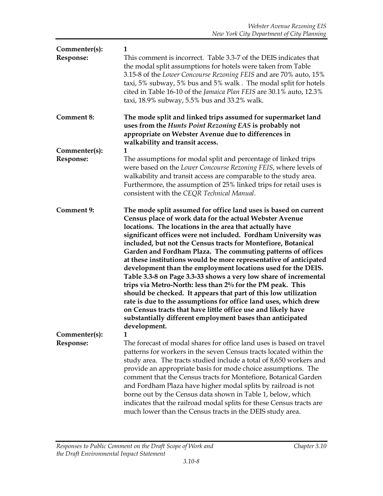| Commenter(s):<br>Response: | 1<br>This comment is incorrect. Table 3.3-7 of the DEIS indicates that<br>the modal split assumptions for hotels were taken from Table<br>3.15-8 of the Lower Concourse Rezoning FEIS and are 70% auto, 15%<br>taxi, 5% subway, 5% bus and 5% walk. The modal split for hotels<br>cited in Table 16-10 of the Jamaica Plan FEIS are 30.1% auto, 12.3%<br>taxi, 18.9% subway, 5.5% bus and 33.2% walk.                                                                                                                                                                                                                                                                                                                                                                                                                                                                                                                                           |
|----------------------------|-------------------------------------------------------------------------------------------------------------------------------------------------------------------------------------------------------------------------------------------------------------------------------------------------------------------------------------------------------------------------------------------------------------------------------------------------------------------------------------------------------------------------------------------------------------------------------------------------------------------------------------------------------------------------------------------------------------------------------------------------------------------------------------------------------------------------------------------------------------------------------------------------------------------------------------------------|
| <b>Comment 8:</b>          | The mode split and linked trips assumed for supermarket land<br>uses from the Hunts Point Rezoning EAS is probably not<br>appropriate on Webster Avenue due to differences in<br>walkability and transit access.                                                                                                                                                                                                                                                                                                                                                                                                                                                                                                                                                                                                                                                                                                                                |
| Commenter(s):<br>Response: | 1<br>The assumptions for modal split and percentage of linked trips<br>were based on the Lower Concourse Rezoning FEIS, where levels of<br>walkability and transit access are comparable to the study area.<br>Furthermore, the assumption of 25% linked trips for retail uses is<br>consistent with the CEQR Technical Manual.                                                                                                                                                                                                                                                                                                                                                                                                                                                                                                                                                                                                                 |
| <b>Comment 9:</b>          | The mode split assumed for office land uses is based on current<br>Census place of work data for the actual Webster Avenue<br>locations. The locations in the area that actually have<br>significant offices were not included. Fordham University was<br>included, but not the Census tracts for Montefiore, Botanical<br>Garden and Fordham Plaza. The commuting patterns of offices<br>at these institutions would be more representative of anticipated<br>development than the employment locations used for the DEIS.<br>Table 3.3-8 on Page 3.3-33 shows a very low share of incremental<br>trips via Metro-North: less than 2% for the PM peak. This<br>should be checked. It appears that part of this low utilization<br>rate is due to the assumptions for office land uses, which drew<br>on Census tracts that have little office use and likely have<br>substantially different employment bases than anticipated<br>development. |
| Commenter(s):<br>Response: | 1<br>The forecast of modal shares for office land uses is based on travel<br>patterns for workers in the seven Census tracts located within the<br>study area. The tracts studied include a total of 8,650 workers and<br>provide an appropriate basis for mode choice assumptions. The<br>comment that the Census tracts for Montefiore, Botanical Garden<br>and Fordham Plaza have higher modal splits by railroad is not<br>borne out by the Census data shown in Table 1, below, which<br>indicates that the railroad modal splits for these Census tracts are<br>much lower than the Census tracts in the DEIS study area.                                                                                                                                                                                                                                                                                                                 |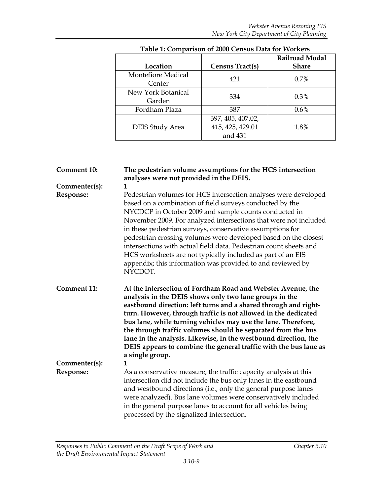| Location                     | Census Tract(s)                                  | <b>Railroad Modal</b><br><b>Share</b> |
|------------------------------|--------------------------------------------------|---------------------------------------|
| Montefiore Medical<br>Center | 421                                              | 0.7%                                  |
| New York Botanical<br>Garden | 334                                              | 0.3%                                  |
| Fordham Plaza                | 387                                              | 0.6%                                  |
| <b>DEIS Study Area</b>       | 397, 405, 407.02,<br>415, 425, 429.01<br>and 431 | 1.8%                                  |

# **Table 1: Comparison of 2000 Census Data for Workers**

| <b>Comment 10:</b>         | The pedestrian volume assumptions for the HCS intersection<br>analyses were not provided in the DEIS.                                                                                                                                                                                                                                                                                                                                                                                                                                                 |
|----------------------------|-------------------------------------------------------------------------------------------------------------------------------------------------------------------------------------------------------------------------------------------------------------------------------------------------------------------------------------------------------------------------------------------------------------------------------------------------------------------------------------------------------------------------------------------------------|
| Commenter(s):<br>Response: | 1<br>Pedestrian volumes for HCS intersection analyses were developed                                                                                                                                                                                                                                                                                                                                                                                                                                                                                  |
|                            | based on a combination of field surveys conducted by the<br>NYCDCP in October 2009 and sample counts conducted in<br>November 2009. For analyzed intersections that were not included<br>in these pedestrian surveys, conservative assumptions for<br>pedestrian crossing volumes were developed based on the closest<br>intersections with actual field data. Pedestrian count sheets and<br>HCS worksheets are not typically included as part of an EIS<br>appendix; this information was provided to and reviewed by<br>NYCDOT.                    |
| <b>Comment 11:</b>         | At the intersection of Fordham Road and Webster Avenue, the<br>analysis in the DEIS shows only two lane groups in the<br>eastbound direction: left turns and a shared through and right-<br>turn. However, through traffic is not allowed in the dedicated<br>bus lane, while turning vehicles may use the lane. Therefore,<br>the through traffic volumes should be separated from the bus<br>lane in the analysis. Likewise, in the westbound direction, the<br>DEIS appears to combine the general traffic with the bus lane as<br>a single group. |
| Commenter(s):              | $\mathbf{1}$                                                                                                                                                                                                                                                                                                                                                                                                                                                                                                                                          |
| Response:                  | As a conservative measure, the traffic capacity analysis at this<br>intersection did not include the bus only lanes in the eastbound<br>and westbound directions (i.e., only the general purpose lanes<br>were analyzed). Bus lane volumes were conservatively included<br>in the general purpose lanes to account for all vehicles being<br>processed by the signalized intersection.                                                                                                                                                                |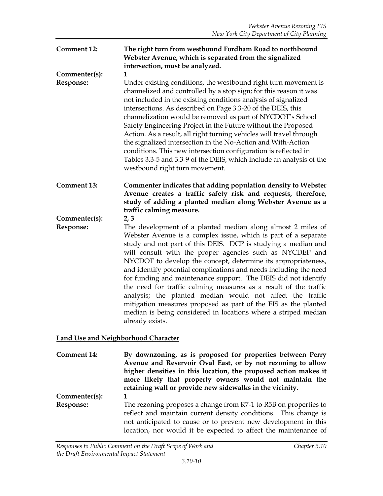## **Comment 12: The right turn from westbound Fordham Road to northbound Webster Avenue, which is separated from the signalized intersection, must be analyzed. Commenter(s): 1 Response:** Under existing conditions, the westbound right turn movement is channelized and controlled by a stop sign; for this reason it was not included in the existing conditions analysis of signalized intersections. As described on Page 3.3-20 of the DEIS, this channelization would be removed as part of NYCDOT's School Safety Engineering Project in the Future without the Proposed Action. As a result, all right turning vehicles will travel through the signalized intersection in the No-Action and With-Action conditions. This new intersection configuration is reflected in Tables 3.3-5 and 3.3-9 of the DEIS, which include an analysis of the westbound right turn movement. **Comment 13: Commenter indicates that adding population density to Webster Avenue creates a traffic safety risk and requests, therefore, study of adding a planted median along Webster Avenue as a traffic calming measure. Commenter(s): 2, 3 Response:** The development of a planted median along almost 2 miles of Webster Avenue is a complex issue, which is part of a separate study and not part of this DEIS. DCP is studying a median and will consult with the proper agencies such as NYCDEP and NYCDOT to develop the concept, determine its appropriateness, and identify potential complications and needs including the need for funding and maintenance support. The DEIS did not identify the need for traffic calming measures as a result of the traffic analysis; the planted median would not affect the traffic mitigation measures proposed as part of the EIS as the planted median is being considered in locations where a striped median

## **Land Use and Neighborhood Character**

already exists.

**Comment 14: By downzoning, as is proposed for properties between Perry Avenue and Reservoir Oval East, or by not rezoning to allow higher densities in this location, the proposed action makes it more likely that property owners would not maintain the retaining wall or provide new sidewalks in the vicinity. Commenter(s): 1 Response:** The rezoning proposes a change from R7-1 to R5B on properties to reflect and maintain current density conditions. This change is not anticipated to cause or to prevent new development in this location, nor would it be expected to affect the maintenance of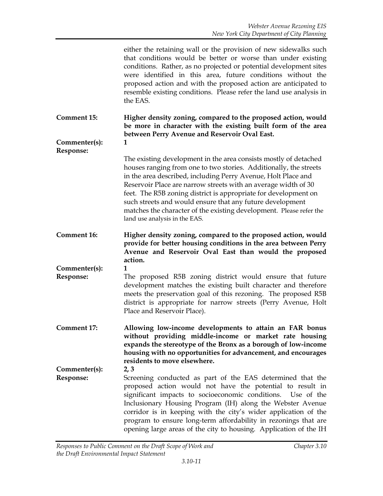either the retaining wall or the provision of new sidewalks such that conditions would be better or worse than under existing conditions. Rather, as no projected or potential development sites were identified in this area, future conditions without the proposed action and with the proposed action are anticipated to resemble existing conditions. Please refer the land use analysis in the EAS.

**Comment 15: Higher density zoning, compared to the proposed action, would be more in character with the existing built form of the area between Perry Avenue and Reservoir Oval East.** 

**Commenter(s): 1 Response:**

The existing development in the area consists mostly of detached houses ranging from one to two stories. Additionally, the streets in the area described, including Perry Avenue, Holt Place and Reservoir Place are narrow streets with an average width of 30 feet. The R5B zoning district is appropriate for development on such streets and would ensure that any future development matches the character of the existing development. Please refer the land use analysis in the EAS.

**Comment 16: Higher density zoning, compared to the proposed action, would provide for better housing conditions in the area between Perry Avenue and Reservoir Oval East than would the proposed action.** 

**Commenter(s): 1**

- **Response:** The proposed R5B zoning district would ensure that future development matches the existing built character and therefore meets the preservation goal of this rezoning. The proposed R5B district is appropriate for narrow streets (Perry Avenue, Holt Place and Reservoir Place).
- **Comment 17: Allowing low-income developments to attain an FAR bonus without providing middle-income or market rate housing expands the stereotype of the Bronx as a borough of low-income housing with no opportunities for advancement, and encourages residents to move elsewhere.**

**Commenter(s): 2, 3 Response:** Screening conducted as part of the EAS determined that the proposed action would not have the potential to result in significant impacts to socioeconomic conditions. Use of the Inclusionary Housing Program (IH) along the Webster Avenue corridor is in keeping with the city's wider application of the program to ensure long-term affordability in rezonings that are opening large areas of the city to housing. Application of the IH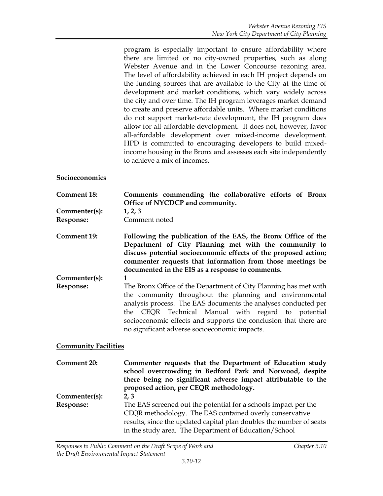program is especially important to ensure affordability where there are limited or no city-owned properties, such as along Webster Avenue and in the Lower Concourse rezoning area. The level of affordability achieved in each IH project depends on the funding sources that are available to the City at the time of development and market conditions, which vary widely across the city and over time. The IH program leverages market demand to create and preserve affordable units. Where market conditions do not support market-rate development, the IH program does allow for all-affordable development. It does not, however, favor all-affordable development over mixed-income development. HPD is committed to encouraging developers to build mixedincome housing in the Bronx and assesses each site independently to achieve a mix of incomes.

#### **Socioeconomics**

**Comment 18: Comments commending the collaborative efforts of Bronx Office of NYCDCP and community.**

**Commenter(s): 1, 2, 3**

**Response:** Comment noted

**Comment 19: Following the publication of the EAS, the Bronx Office of the Department of City Planning met with the community to discuss potential socioeconomic effects of the proposed action; commenter requests that information from those meetings be documented in the EIS as a response to comments.** 

**Commenter(s): 1**

**Response:** The Bronx Office of the Department of City Planning has met with the community throughout the planning and environmental analysis process. The EAS documents the analyses conducted per the CEQR Technical Manual with regard to potential socioeconomic effects and supports the conclusion that there are no significant adverse socioeconomic impacts.

#### **Community Facilities**

**Comment 20: Commenter requests that the Department of Education study school overcrowding in Bedford Park and Norwood, despite there being no significant adverse impact attributable to the proposed action, per CEQR methodology. Commenter(s): 2, 3 Response:** The EAS screened out the potential for a schools impact per the CEQR methodology. The EAS contained overly conservative results, since the updated capital plan doubles the number of seats in the study area. The Department of Education/School